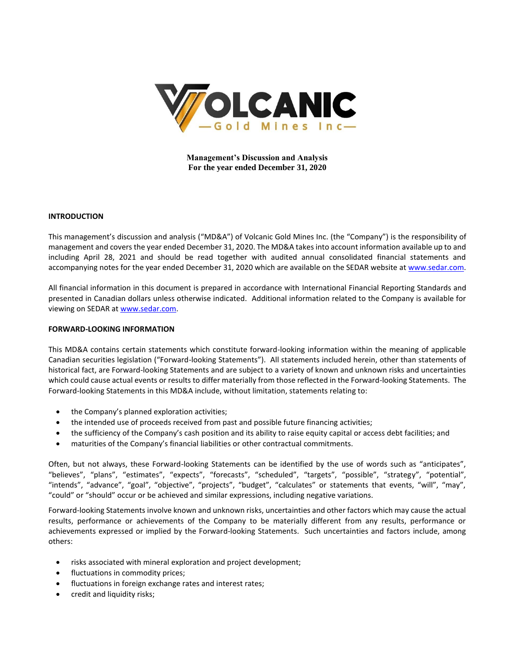

**Management's Discussion and Analysis For the year ended December 31, 2020**

#### **INTRODUCTION**

This management's discussion and analysis ("MD&A") of Volcanic Gold Mines Inc. (the "Company") is the responsibility of management and covers the year ended December 31, 2020. The MD&A takes into account information available up to and including April 28, 2021 and should be read together with audited annual consolidated financial statements and accompanying notes for the year ended December 31, 2020 which are available on the SEDAR website a[t www.sedar.com.](http://www.sedar.com/)

All financial information in this document is prepared in accordance with International Financial Reporting Standards and presented in Canadian dollars unless otherwise indicated. Additional information related to the Company is available for viewing on SEDAR at [www.sedar.com.](http://www.sedar.com/)

### **FORWARD-LOOKING INFORMATION**

This MD&A contains certain statements which constitute forward-looking information within the meaning of applicable Canadian securities legislation ("Forward-looking Statements"). All statements included herein, other than statements of historical fact, are Forward-looking Statements and are subject to a variety of known and unknown risks and uncertainties which could cause actual events or results to differ materially from those reflected in the Forward-looking Statements. The Forward-looking Statements in this MD&A include, without limitation, statements relating to:

- the Company's planned exploration activities;
- the intended use of proceeds received from past and possible future financing activities;
- the sufficiency of the Company's cash position and its ability to raise equity capital or access debt facilities; and
- maturities of the Company's financial liabilities or other contractual commitments.

Often, but not always, these Forward-looking Statements can be identified by the use of words such as "anticipates", "believes", "plans", "estimates", "expects", "forecasts", "scheduled", "targets", "possible", "strategy", "potential", "intends", "advance", "goal", "objective", "projects", "budget", "calculates" or statements that events, "will", "may", "could" or "should" occur or be achieved and similar expressions, including negative variations.

Forward-looking Statements involve known and unknown risks, uncertainties and other factors which may cause the actual results, performance or achievements of the Company to be materially different from any results, performance or achievements expressed or implied by the Forward-looking Statements. Such uncertainties and factors include, among others:

- risks associated with mineral exploration and project development;
- fluctuations in commodity prices;
- fluctuations in foreign exchange rates and interest rates;
- credit and liquidity risks;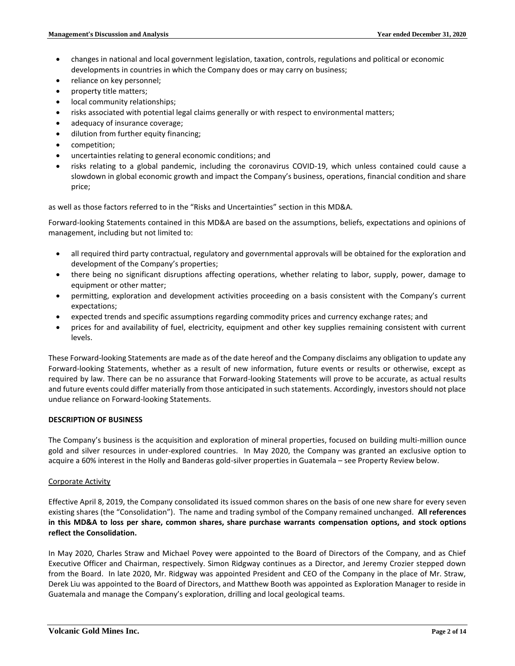- changes in national and local government legislation, taxation, controls, regulations and political or economic developments in countries in which the Company does or may carry on business;
- reliance on key personnel;
- property title matters;
- local community relationships;
- risks associated with potential legal claims generally or with respect to environmental matters;
- adequacy of insurance coverage;
- dilution from further equity financing;
- competition;
- uncertainties relating to general economic conditions; and
- risks relating to a global pandemic, including the coronavirus COVID-19, which unless contained could cause a slowdown in global economic growth and impact the Company's business, operations, financial condition and share price;

as well as those factors referred to in the "Risks and Uncertainties" section in this MD&A.

Forward-looking Statements contained in this MD&A are based on the assumptions, beliefs, expectations and opinions of management, including but not limited to:

- all required third party contractual, regulatory and governmental approvals will be obtained for the exploration and development of the Company's properties;
- there being no significant disruptions affecting operations, whether relating to labor, supply, power, damage to equipment or other matter;
- permitting, exploration and development activities proceeding on a basis consistent with the Company's current expectations;
- expected trends and specific assumptions regarding commodity prices and currency exchange rates; and
- prices for and availability of fuel, electricity, equipment and other key supplies remaining consistent with current levels.

These Forward-looking Statements are made as of the date hereof and the Company disclaims any obligation to update any Forward-looking Statements, whether as a result of new information, future events or results or otherwise, except as required by law. There can be no assurance that Forward-looking Statements will prove to be accurate, as actual results and future events could differ materially from those anticipated in such statements. Accordingly, investors should not place undue reliance on Forward-looking Statements.

# **DESCRIPTION OF BUSINESS**

The Company's business is the acquisition and exploration of mineral properties, focused on building multi-million ounce gold and silver resources in under-explored countries. In May 2020, the Company was granted an exclusive option to acquire a 60% interest in the Holly and Banderas gold-silver properties in Guatemala – see Property Review below.

# Corporate Activity

Effective April 8, 2019, the Company consolidated its issued common shares on the basis of one new share for every seven existing shares (the "Consolidation"). The name and trading symbol of the Company remained unchanged. **All references in this MD&A to loss per share, common shares, share purchase warrants compensation options, and stock options reflect the Consolidation.**

In May 2020, Charles Straw and Michael Povey were appointed to the Board of Directors of the Company, and as Chief Executive Officer and Chairman, respectively. Simon Ridgway continues as a Director, and Jeremy Crozier stepped down from the Board. In late 2020, Mr. Ridgway was appointed President and CEO of the Company in the place of Mr. Straw, Derek Liu was appointed to the Board of Directors, and Matthew Booth was appointed as Exploration Manager to reside in Guatemala and manage the Company's exploration, drilling and local geological teams.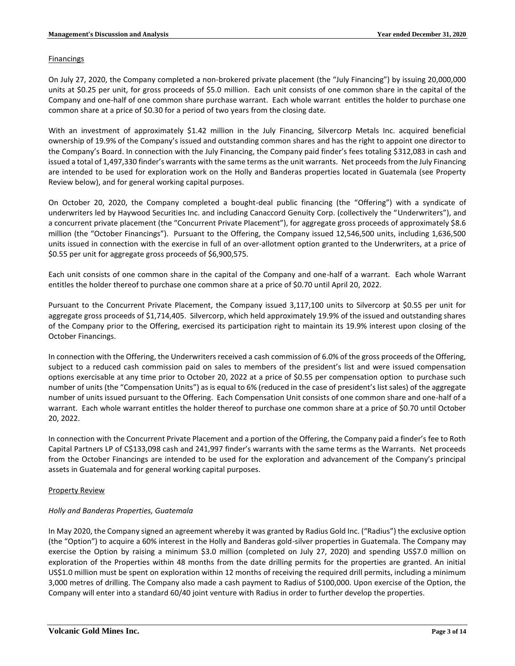### **Financings**

On July 27, 2020, the Company completed a non-brokered private placement (the "July Financing") by issuing 20,000,000 units at \$0.25 per unit, for gross proceeds of \$5.0 million. Each unit consists of one common share in the capital of the Company and one-half of one common share purchase warrant. Each whole warrant entitles the holder to purchase one common share at a price of \$0.30 for a period of two years from the closing date.

With an investment of approximately \$1.42 million in the July Financing, Silvercorp Metals Inc. acquired beneficial ownership of 19.9% of the Company's issued and outstanding common shares and has the right to appoint one director to the Company's Board. In connection with the July Financing, the Company paid finder's fees totaling \$312,083 in cash and issued a total of 1,497,330 finder's warrants with the same terms as the unit warrants. Net proceeds from the July Financing are intended to be used for exploration work on the Holly and Banderas properties located in Guatemala (see Property Review below), and for general working capital purposes.

On October 20, 2020, the Company completed a bought-deal public financing (the "Offering") with a syndicate of underwriters led by Haywood Securities Inc. and including Canaccord Genuity Corp. (collectively the "Underwriters"), and a concurrent private placement (the "Concurrent Private Placement"), for aggregate gross proceeds of approximately \$8.6 million (the "October Financings"). Pursuant to the Offering, the Company issued 12,546,500 units, including 1,636,500 units issued in connection with the exercise in full of an over-allotment option granted to the Underwriters, at a price of \$0.55 per unit for aggregate gross proceeds of \$6,900,575.

Each unit consists of one common share in the capital of the Company and one-half of a warrant. Each whole Warrant entitles the holder thereof to purchase one common share at a price of \$0.70 until April 20, 2022.

Pursuant to the Concurrent Private Placement, the Company issued 3,117,100 units to Silvercorp at \$0.55 per unit for aggregate gross proceeds of \$1,714,405. Silvercorp, which held approximately 19.9% of the issued and outstanding shares of the Company prior to the Offering, exercised its participation right to maintain its 19.9% interest upon closing of the October Financings.

In connection with the Offering, the Underwriters received a cash commission of 6.0% of the gross proceeds of the Offering, subject to a reduced cash commission paid on sales to members of the president's list and were issued compensation options exercisable at any time prior to October 20, 2022 at a price of \$0.55 per compensation option to purchase such number of units (the "Compensation Units") as is equal to 6% (reduced in the case of president's list sales) of the aggregate number of units issued pursuant to the Offering. Each Compensation Unit consists of one common share and one-half of a warrant. Each whole warrant entitles the holder thereof to purchase one common share at a price of \$0.70 until October 20, 2022.

In connection with the Concurrent Private Placement and a portion of the Offering, the Company paid a finder's fee to Roth Capital Partners LP of C\$133,098 cash and 241,997 finder's warrants with the same terms as the Warrants. Net proceeds from the October Financings are intended to be used for the exploration and advancement of the Company's principal assets in Guatemala and for general working capital purposes.

# Property Review

# *Holly and Banderas Properties, Guatemala*

In May 2020, the Company signed an agreement whereby it was granted by Radius Gold Inc. ("Radius") the exclusive option (the "Option") to acquire a 60% interest in the Holly and Banderas gold-silver properties in Guatemala. The Company may exercise the Option by raising a minimum \$3.0 million (completed on July 27, 2020) and spending US\$7.0 million on exploration of the Properties within 48 months from the date drilling permits for the properties are granted. An initial US\$1.0 million must be spent on exploration within 12 months of receiving the required drill permits, including a minimum 3,000 metres of drilling. The Company also made a cash payment to Radius of \$100,000. Upon exercise of the Option, the Company will enter into a standard 60/40 joint venture with Radius in order to further develop the properties.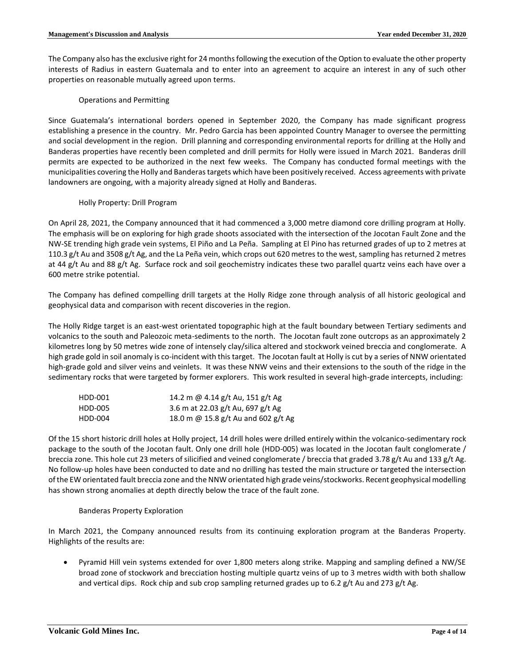The Company also has the exclusive right for 24 months following the execution of the Option to evaluate the other property interests of Radius in eastern Guatemala and to enter into an agreement to acquire an interest in any of such other properties on reasonable mutually agreed upon terms.

## Operations and Permitting

Since Guatemala's international borders opened in September 2020, the Company has made significant progress establishing a presence in the country. Mr. Pedro Garcia has been appointed Country Manager to oversee the permitting and social development in the region. Drill planning and corresponding environmental reports for drilling at the Holly and Banderas properties have recently been completed and drill permits for Holly were issued in March 2021. Banderas drill permits are expected to be authorized in the next few weeks. The Company has conducted formal meetings with the municipalities covering the Holly and Banderas targets which have been positively received. Access agreements with private landowners are ongoing, with a majority already signed at Holly and Banderas.

### Holly Property: Drill Program

On April 28, 2021, the Company announced that it had commenced a 3,000 metre diamond core drilling program at Holly. The emphasis will be on exploring for high grade shoots associated with the intersection of the Jocotan Fault Zone and the NW-SE trending high grade vein systems, El Piño and La Peña. Sampling at El Pino has returned grades of up to 2 metres at 110.3 g/t Au and 3508 g/t Ag, and the La Peña vein, which crops out 620 metres to the west, sampling has returned 2 metres at 44 g/t Au and 88 g/t Ag. Surface rock and soil geochemistry indicates these two parallel quartz veins each have over a 600 metre strike potential.

The Company has defined compelling drill targets at the Holly Ridge zone through analysis of all historic geological and geophysical data and comparison with recent discoveries in the region.

The Holly Ridge target is an east-west orientated topographic high at the fault boundary between Tertiary sediments and volcanics to the south and Paleozoic meta-sediments to the north. The Jocotan fault zone outcrops as an approximately 2 kilometres long by 50 metres wide zone of intensely clay/silica altered and stockwork veined breccia and conglomerate. A high grade gold in soil anomaly is co-incident with this target. The Jocotan fault at Holly is cut by a series of NNW orientated high-grade gold and silver veins and veinlets. It was these NNW veins and their extensions to the south of the ridge in the sedimentary rocks that were targeted by former explorers. This work resulted in several high-grade intercepts, including:

| HDD-001 | 14.2 m @ 4.14 g/t Au, 151 g/t Ag    |
|---------|-------------------------------------|
| HDD-005 | 3.6 m at 22.03 g/t Au, 697 g/t Ag   |
| HDD-004 | 18.0 m @ 15.8 g/t Au and 602 g/t Ag |

Of the 15 short historic drill holes at Holly project, 14 drill holes were drilled entirely within the volcanico-sedimentary rock package to the south of the Jocotan fault. Only one drill hole (HDD-005) was located in the Jocotan fault conglomerate / breccia zone. This hole cut 23 meters of silicified and veined conglomerate / breccia that graded 3.78 g/t Au and 133 g/t Ag. No follow-up holes have been conducted to date and no drilling has tested the main structure or targeted the intersection of the EW orientated fault breccia zone and the NNW orientated high grade veins/stockworks. Recent geophysical modelling has shown strong anomalies at depth directly below the trace of the fault zone.

# Banderas Property Exploration

In March 2021, the Company announced results from its continuing exploration program at the Banderas Property. Highlights of the results are:

• Pyramid Hill vein systems extended for over 1,800 meters along strike. Mapping and sampling defined a NW/SE broad zone of stockwork and brecciation hosting multiple quartz veins of up to 3 metres width with both shallow and vertical dips. Rock chip and sub crop sampling returned grades up to 6.2 g/t Au and 273 g/t Ag.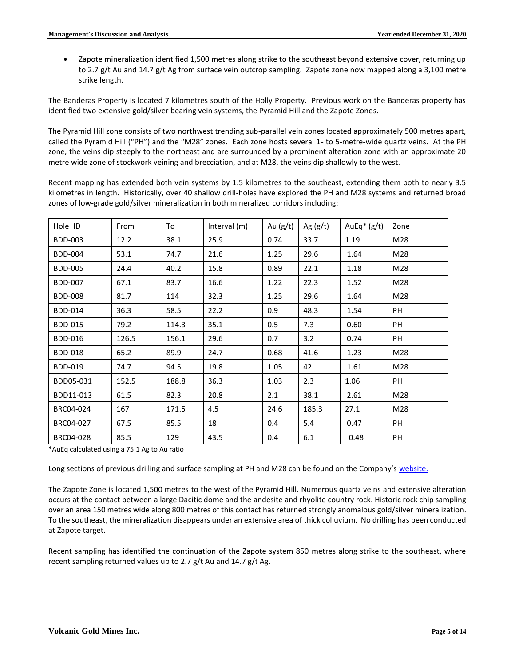• Zapote mineralization identified 1,500 metres along strike to the southeast beyond extensive cover, returning up to 2.7 g/t Au and 14.7 g/t Ag from surface vein outcrop sampling. Zapote zone now mapped along a 3,100 metre strike length.

The Banderas Property is located 7 kilometres south of the Holly Property. Previous work on the Banderas property has identified two extensive gold/silver bearing vein systems, the Pyramid Hill and the Zapote Zones.

The Pyramid Hill zone consists of two northwest trending sub-parallel vein zones located approximately 500 metres apart, called the Pyramid Hill ("PH") and the "M28" zones. Each zone hosts several 1- to 5-metre-wide quartz veins. At the PH zone, the veins dip steeply to the northeast and are surrounded by a prominent alteration zone with an approximate 20 metre wide zone of stockwork veining and brecciation, and at M28, the veins dip shallowly to the west.

Recent mapping has extended both vein systems by 1.5 kilometres to the southeast, extending them both to nearly 3.5 kilometres in length. Historically, over 40 shallow drill-holes have explored the PH and M28 systems and returned broad zones of low-grade gold/silver mineralization in both mineralized corridors including:

| Hole_ID        | From  | To    | Interval (m) | Au $(g/t)$ | Ag $(g/t)$ | AuEq $*(g/t)$ | Zone |
|----------------|-------|-------|--------------|------------|------------|---------------|------|
| <b>BDD-003</b> | 12.2  | 38.1  | 25.9         | 0.74       | 33.7       | 1.19          | M28  |
| <b>BDD-004</b> | 53.1  | 74.7  | 21.6         | 1.25       | 29.6       | 1.64          | M28  |
| <b>BDD-005</b> | 24.4  | 40.2  | 15.8         | 0.89       | 22.1       | 1.18          | M28  |
| <b>BDD-007</b> | 67.1  | 83.7  | 16.6         | 1.22       | 22.3       | 1.52          | M28  |
| <b>BDD-008</b> | 81.7  | 114   | 32.3         | 1.25       | 29.6       | 1.64          | M28  |
| <b>BDD-014</b> | 36.3  | 58.5  | 22.2         | 0.9        | 48.3       | 1.54          | PH   |
| <b>BDD-015</b> | 79.2  | 114.3 | 35.1         | 0.5        | 7.3        | 0.60          | PH   |
| <b>BDD-016</b> | 126.5 | 156.1 | 29.6         | 0.7        | 3.2        | 0.74          | PH   |
| <b>BDD-018</b> | 65.2  | 89.9  | 24.7         | 0.68       | 41.6       | 1.23          | M28  |
| <b>BDD-019</b> | 74.7  | 94.5  | 19.8         | 1.05       | 42         | 1.61          | M28  |
| BDD05-031      | 152.5 | 188.8 | 36.3         | 1.03       | 2.3        | 1.06          | PH   |
| BDD11-013      | 61.5  | 82.3  | 20.8         | 2.1        | 38.1       | 2.61          | M28  |
| BRC04-024      | 167   | 171.5 | 4.5          | 24.6       | 185.3      | 27.1          | M28  |
| BRC04-027      | 67.5  | 85.5  | 18           | 0.4        | 5.4        | 0.47          | PH   |
| BRC04-028      | 85.5  | 129   | 43.5         | 0.4        | 6.1        | 0.48          | PH   |

\*AuEq calculated using a 75:1 Ag to Au ratio

Long sections of previous drilling and surface sampling at PH and M28 can be found on the Company's [website.](https://www.volgold.com/projects/banderas-project/)

The Zapote Zone is located 1,500 metres to the west of the Pyramid Hill. Numerous quartz veins and extensive alteration occurs at the contact between a large Dacitic dome and the andesite and rhyolite country rock. Historic rock chip sampling over an area 150 metres wide along 800 metres of this contact has returned strongly anomalous gold/silver mineralization. To the southeast, the mineralization disappears under an extensive area of thick colluvium. No drilling has been conducted at Zapote target.

Recent sampling has identified the continuation of the Zapote system 850 metres along strike to the southeast, where recent sampling returned values up to 2.7 g/t Au and 14.7 g/t Ag.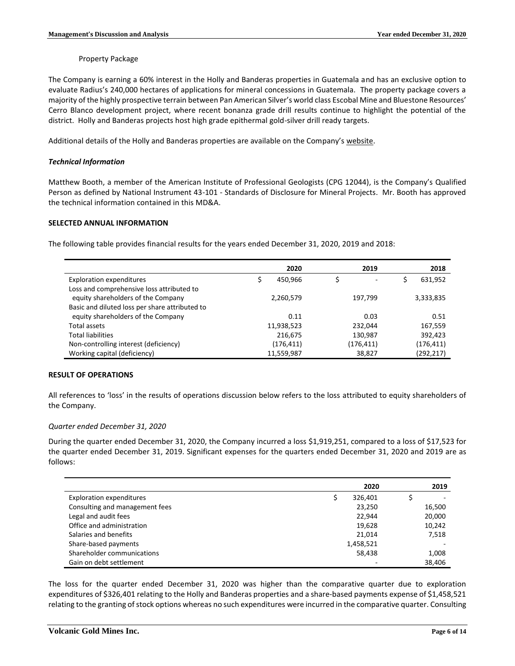### Property Package

The Company is earning a 60% interest in the Holly and Banderas properties in Guatemala and has an exclusive option to evaluate Radius's 240,000 hectares of applications for mineral concessions in Guatemala. The property package covers a majority of the highly prospective terrain between Pan American Silver's world class Escobal Mine and Bluestone Resources' Cerro Blanco development project, where recent bonanza grade drill results continue to highlight the potential of the district. Holly and Banderas projects host high grade epithermal gold-silver drill ready targets.

Additional details of the Holly and Banderas properties are available on the Company's [website.](http://www.volgold.com/)

### *Technical Information*

Matthew Booth, a member of the American Institute of Professional Geologists (CPG 12044), is the Company's Qualified Person as defined by National Instrument 43-101 - Standards of Disclosure for Mineral Projects. Mr. Booth has approved the technical information contained in this MD&A.

### **SELECTED ANNUAL INFORMATION**

The following table provides financial results for the years ended December 31, 2020, 2019 and 2018:

|                                                | 2020       | 2019                     | 2018          |
|------------------------------------------------|------------|--------------------------|---------------|
| <b>Exploration expenditures</b>                | 450.966    | $\overline{\phantom{0}}$ | \$<br>631,952 |
| Loss and comprehensive loss attributed to      |            |                          |               |
| equity shareholders of the Company             | 2,260,579  | 197,799                  | 3,333,835     |
| Basic and diluted loss per share attributed to |            |                          |               |
| equity shareholders of the Company             | 0.11       | 0.03                     | 0.51          |
| Total assets                                   | 11,938,523 | 232,044                  | 167,559       |
| <b>Total liabilities</b>                       | 216,675    | 130,987                  | 392,423       |
| Non-controlling interest (deficiency)          | (176, 411) | (176,411)                | (176, 411)    |
| Working capital (deficiency)                   | 11,559,987 | 38,827                   | (292, 217)    |

### **RESULT OF OPERATIONS**

All references to 'loss' in the results of operations discussion below refers to the loss attributed to equity shareholders of the Company.

### *Quarter ended December 31, 2020*

During the quarter ended December 31, 2020, the Company incurred a loss \$1,919,251, compared to a loss of \$17,523 for the quarter ended December 31, 2019. Significant expenses for the quarters ended December 31, 2020 and 2019 are as follows:

|                                 | 2020      | 2019   |
|---------------------------------|-----------|--------|
| <b>Exploration expenditures</b> | 326,401   |        |
| Consulting and management fees  | 23,250    | 16,500 |
| Legal and audit fees            | 22,944    | 20,000 |
| Office and administration       | 19,628    | 10,242 |
| Salaries and benefits           | 21.014    | 7,518  |
| Share-based payments            | 1,458,521 |        |
| Shareholder communications      | 58,438    | 1,008  |
| Gain on debt settlement         |           | 38,406 |

The loss for the quarter ended December 31, 2020 was higher than the comparative quarter due to exploration expenditures of \$326,401 relating to the Holly and Banderas properties and a share-based payments expense of \$1,458,521 relating to the granting of stock options whereas no such expenditures were incurred in the comparative quarter. Consulting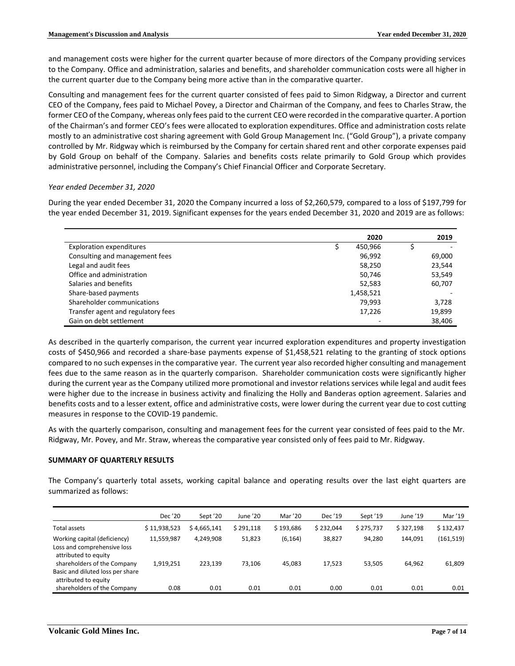and management costs were higher for the current quarter because of more directors of the Company providing services to the Company. Office and administration, salaries and benefits, and shareholder communication costs were all higher in the current quarter due to the Company being more active than in the comparative quarter.

Consulting and management fees for the current quarter consisted of fees paid to Simon Ridgway, a Director and current CEO of the Company, fees paid to Michael Povey, a Director and Chairman of the Company, and fees to Charles Straw, the former CEO of the Company, whereas only fees paid to the current CEO were recorded in the comparative quarter. A portion of the Chairman's and former CEO's fees were allocated to exploration expenditures. Office and administration costs relate mostly to an administrative cost sharing agreement with Gold Group Management Inc. ("Gold Group"), a private company controlled by Mr. Ridgway which is reimbursed by the Company for certain shared rent and other corporate expenses paid by Gold Group on behalf of the Company. Salaries and benefits costs relate primarily to Gold Group which provides administrative personnel, including the Company's Chief Financial Officer and Corporate Secretary.

# *Year ended December 31, 2020*

ř.

During the year ended December 31, 2020 the Company incurred a loss of \$2,260,579, compared to a loss of \$197,799 for the year ended December 31, 2019. Significant expenses for the years ended December 31, 2020 and 2019 are as follows:

|                                    | 2020      | 2019   |
|------------------------------------|-----------|--------|
| <b>Exploration expenditures</b>    | 450,966   |        |
| Consulting and management fees     | 96,992    | 69,000 |
| Legal and audit fees               | 58,250    | 23,544 |
| Office and administration          | 50,746    | 53,549 |
| Salaries and benefits              | 52,583    | 60,707 |
| Share-based payments               | 1,458,521 |        |
| Shareholder communications         | 79,993    | 3,728  |
| Transfer agent and regulatory fees | 17,226    | 19,899 |
| Gain on debt settlement            |           | 38,406 |

As described in the quarterly comparison, the current year incurred exploration expenditures and property investigation costs of \$450,966 and recorded a share-base payments expense of \$1,458,521 relating to the granting of stock options compared to no such expenses in the comparative year. The current year also recorded higher consulting and management fees due to the same reason as in the quarterly comparison. Shareholder communication costs were significantly higher during the current year as the Company utilized more promotional and investor relations services while legal and audit fees were higher due to the increase in business activity and finalizing the Holly and Banderas option agreement. Salaries and benefits costs and to a lesser extent, office and administrative costs, were lower during the current year due to cost cutting measures in response to the COVID-19 pandemic.

As with the quarterly comparison, consulting and management fees for the current year consisted of fees paid to the Mr. Ridgway, Mr. Povey, and Mr. Straw, whereas the comparative year consisted only of fees paid to Mr. Ridgway.

# **SUMMARY OF QUARTERLY RESULTS**

The Company's quarterly total assets, working capital balance and operating results over the last eight quarters are summarized as follows:

|                                                                                                                    | Dec '20                 | Sept '20             | June '20         | Mar '20            | Dec '19   | Sept '19  | June '19  | Mar '19              |
|--------------------------------------------------------------------------------------------------------------------|-------------------------|----------------------|------------------|--------------------|-----------|-----------|-----------|----------------------|
| Total assets                                                                                                       | \$11,938,523            | \$4,665,141          | \$291,118        | \$193,686          | \$232.044 | \$275,737 | \$327.198 | \$132,437            |
| Working capital (deficiency)<br>Loss and comprehensive loss<br>attributed to equity<br>shareholders of the Company | 11,559,987<br>1,919,251 | 4.249.908<br>223,139 | 51,823<br>73,106 | (6, 164)<br>45,083 | 38,827    | 94,280    | 144.091   | (161, 519)<br>61,809 |
| Basic and diluted loss per share<br>attributed to equity                                                           |                         |                      |                  |                    | 17,523    | 53,505    | 64,962    |                      |
| shareholders of the Company                                                                                        | 0.08                    | 0.01                 | 0.01             | 0.01               | 0.00      | 0.01      | 0.01      | 0.01                 |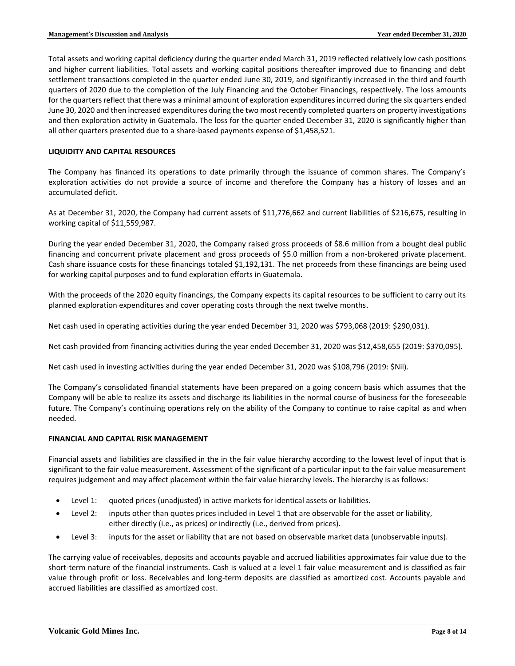Total assets and working capital deficiency during the quarter ended March 31, 2019 reflected relatively low cash positions and higher current liabilities. Total assets and working capital positions thereafter improved due to financing and debt settlement transactions completed in the quarter ended June 30, 2019, and significantly increased in the third and fourth quarters of 2020 due to the completion of the July Financing and the October Financings, respectively. The loss amounts for the quarters reflect that there was a minimal amount of exploration expenditures incurred during the six quarters ended June 30, 2020 and then increased expenditures during the two most recently completed quarters on property investigations and then exploration activity in Guatemala. The loss for the quarter ended December 31, 2020 is significantly higher than all other quarters presented due to a share-based payments expense of \$1,458,521.

## **LIQUIDITY AND CAPITAL RESOURCES**

The Company has financed its operations to date primarily through the issuance of common shares. The Company's exploration activities do not provide a source of income and therefore the Company has a history of losses and an accumulated deficit.

As at December 31, 2020, the Company had current assets of \$11,776,662 and current liabilities of \$216,675, resulting in working capital of \$11,559,987.

During the year ended December 31, 2020, the Company raised gross proceeds of \$8.6 million from a bought deal public financing and concurrent private placement and gross proceeds of \$5.0 million from a non-brokered private placement. Cash share issuance costs for these financings totaled \$1,192,131. The net proceeds from these financings are being used for working capital purposes and to fund exploration efforts in Guatemala.

With the proceeds of the 2020 equity financings, the Company expects its capital resources to be sufficient to carry out its planned exploration expenditures and cover operating costs through the next twelve months.

Net cash used in operating activities during the year ended December 31, 2020 was \$793,068 (2019: \$290,031).

Net cash provided from financing activities during the year ended December 31, 2020 was \$12,458,655 (2019: \$370,095).

Net cash used in investing activities during the year ended December 31, 2020 was \$108,796 (2019: \$Nil).

The Company's consolidated financial statements have been prepared on a going concern basis which assumes that the Company will be able to realize its assets and discharge its liabilities in the normal course of business for the foreseeable future. The Company's continuing operations rely on the ability of the Company to continue to raise capital as and when needed.

### **FINANCIAL AND CAPITAL RISK MANAGEMENT**

Financial assets and liabilities are classified in the in the fair value hierarchy according to the lowest level of input that is significant to the fair value measurement. Assessment of the significant of a particular input to the fair value measurement requires judgement and may affect placement within the fair value hierarchy levels. The hierarchy is as follows:

- Level 1: quoted prices (unadjusted) in active markets for identical assets or liabilities.
- Level 2: inputs other than quotes prices included in Level 1 that are observable for the asset or liability, either directly (i.e., as prices) or indirectly (i.e., derived from prices).
- Level 3: inputs for the asset or liability that are not based on observable market data (unobservable inputs).

The carrying value of receivables, deposits and accounts payable and accrued liabilities approximates fair value due to the short-term nature of the financial instruments. Cash is valued at a level 1 fair value measurement and is classified as fair value through profit or loss. Receivables and long-term deposits are classified as amortized cost. Accounts payable and accrued liabilities are classified as amortized cost.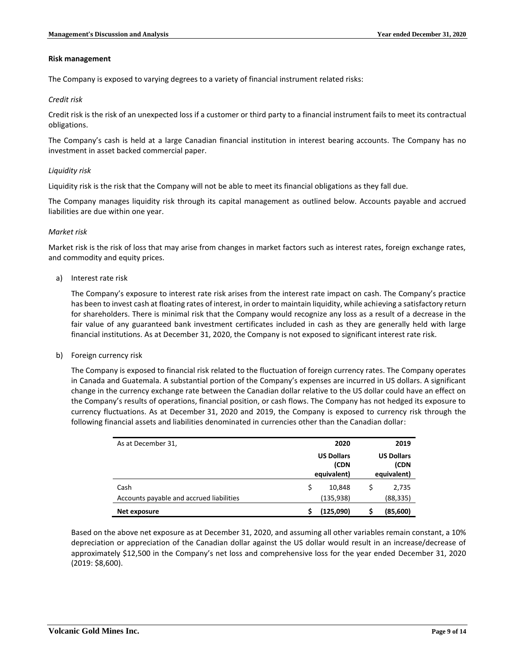#### **Risk management**

The Company is exposed to varying degrees to a variety of financial instrument related risks:

### *Credit risk*

Credit risk is the risk of an unexpected loss if a customer or third party to a financial instrument fails to meet its contractual obligations.

The Company's cash is held at a large Canadian financial institution in interest bearing accounts. The Company has no investment in asset backed commercial paper.

### *Liquidity risk*

Liquidity risk is the risk that the Company will not be able to meet its financial obligations as they fall due.

The Company manages liquidity risk through its capital management as outlined below. Accounts payable and accrued liabilities are due within one year.

### *Market risk*

Market risk is the risk of loss that may arise from changes in market factors such as interest rates, foreign exchange rates, and commodity and equity prices.

a) Interest rate risk

The Company's exposure to interest rate risk arises from the interest rate impact on cash. The Company's practice has been to invest cash at floating rates of interest, in order to maintain liquidity, while achieving a satisfactory return for shareholders. There is minimal risk that the Company would recognize any loss as a result of a decrease in the fair value of any guaranteed bank investment certificates included in cash as they are generally held with large financial institutions. As at December 31, 2020, the Company is not exposed to significant interest rate risk.

b) Foreign currency risk

The Company is exposed to financial risk related to the fluctuation of foreign currency rates. The Company operates in Canada and Guatemala. A substantial portion of the Company's expenses are incurred in US dollars. A significant change in the currency exchange rate between the Canadian dollar relative to the US dollar could have an effect on the Company's results of operations, financial position, or cash flows. The Company has not hedged its exposure to currency fluctuations. As at December 31, 2020 and 2019, the Company is exposed to currency risk through the following financial assets and liabilities denominated in currencies other than the Canadian dollar:

| As at December 31,                       |   |                                          | 2019                                     |           |  |  |
|------------------------------------------|---|------------------------------------------|------------------------------------------|-----------|--|--|
|                                          |   | <b>US Dollars</b><br>(CDN<br>equivalent) | <b>US Dollars</b><br>(CDN<br>equivalent) |           |  |  |
| Cash                                     | Ś | 10,848                                   |                                          | 2,735     |  |  |
| Accounts payable and accrued liabilities |   | (135, 938)                               |                                          | (88, 335) |  |  |
| Net exposure                             |   | (125,090)                                |                                          | (85,600)  |  |  |

Based on the above net exposure as at December 31, 2020, and assuming all other variables remain constant, a 10% depreciation or appreciation of the Canadian dollar against the US dollar would result in an increase/decrease of approximately \$12,500 in the Company's net loss and comprehensive loss for the year ended December 31, 2020 (2019: \$8,600).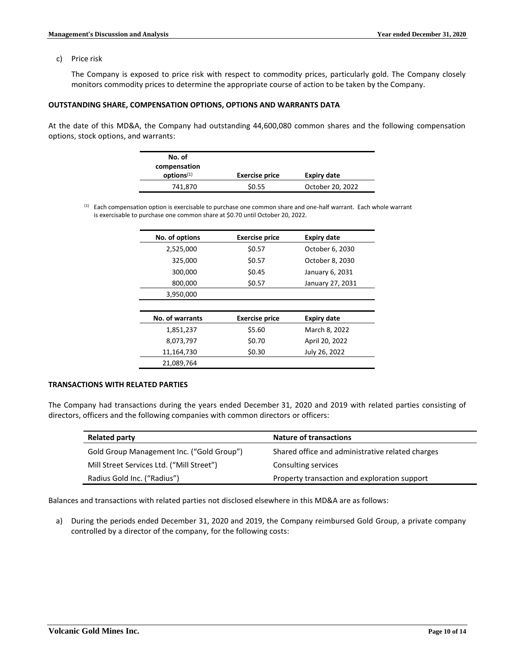c) Price risk

The Company is exposed to price risk with respect to commodity prices, particularly gold. The Company closely monitors commodity prices to determine the appropriate course of action to be taken by the Company.

#### **OUTSTANDING SHARE, COMPENSATION OPTIONS, OPTIONS AND WARRANTS DATA**

At the date of this MD&A, the Company had outstanding 44,600,080 common shares and the following compensation options, stock options, and warrants:

| No. of                 |                       |                    |
|------------------------|-----------------------|--------------------|
| compensation           |                       |                    |
| options <sup>(1)</sup> | <b>Exercise price</b> | <b>Expiry date</b> |
| 741,870                | \$0.55                | October 20, 2022   |

 $<sup>(1)</sup>$  Each compensation option is exercisable to purchase one common share and one-half warrant. Each whole warrant</sup> is exercisable to purchase one common share at \$0.70 until October 20, 2022.

| No. of options  | <b>Exercise price</b> | <b>Expiry date</b> |
|-----------------|-----------------------|--------------------|
| 2,525,000       | \$0.57                | October 6, 2030    |
| 325,000         | \$0.57                | October 8, 2030    |
| 300,000         | \$0.45                | January 6, 2031    |
| 800,000         | \$0.57                | January 27, 2031   |
| 3,950,000       |                       |                    |
|                 |                       |                    |
| No. of warrants | <b>Exercise price</b> | <b>Expiry date</b> |
| 1,851,237       | \$5.60                | March 8, 2022      |
|                 |                       |                    |
| 8,073,797       | \$0.70                | April 20, 2022     |
| 11,164,730      | \$0.30                | July 26, 2022      |

## **TRANSACTIONS WITH RELATED PARTIES**

The Company had transactions during the years ended December 31, 2020 and 2019 with related parties consisting of directors, officers and the following companies with common directors or officers:

| <b>Related party</b>                      | <b>Nature of transactions</b>                    |
|-------------------------------------------|--------------------------------------------------|
| Gold Group Management Inc. ("Gold Group") | Shared office and administrative related charges |
| Mill Street Services Ltd. ("Mill Street") | Consulting services                              |
| Radius Gold Inc. ("Radius")               | Property transaction and exploration support     |

Balances and transactions with related parties not disclosed elsewhere in this MD&A are as follows:

a) During the periods ended December 31, 2020 and 2019, the Company reimbursed Gold Group, a private company controlled by a director of the company, for the following costs: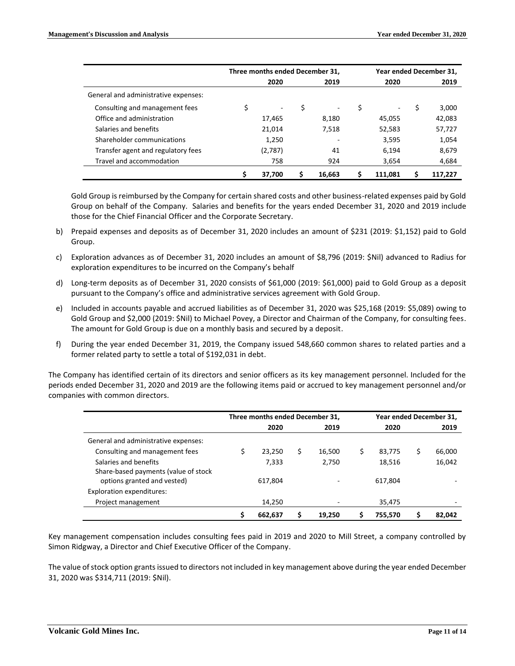|                                      | Three months ended December 31, |         |    |        | Year ended December 31. |    |         |  |
|--------------------------------------|---------------------------------|---------|----|--------|-------------------------|----|---------|--|
|                                      |                                 | 2020    |    | 2019   | 2020                    |    | 2019    |  |
| General and administrative expenses: |                                 |         |    |        |                         |    |         |  |
| Consulting and management fees       | \$                              | ۰       | \$ | -      | \$<br>۰                 | \$ | 3,000   |  |
| Office and administration            |                                 | 17,465  |    | 8,180  | 45,055                  |    | 42,083  |  |
| Salaries and benefits                |                                 | 21.014  |    | 7,518  | 52,583                  |    | 57,727  |  |
| Shareholder communications           |                                 | 1,250   |    | ۰      | 3,595                   |    | 1,054   |  |
| Transfer agent and regulatory fees   |                                 | (2,787) |    | 41     | 6.194                   |    | 8,679   |  |
| Travel and accommodation             |                                 | 758     |    | 924    | 3,654                   |    | 4,684   |  |
|                                      |                                 | 37.700  |    | 16,663 | \$<br>111.081           |    | 117.227 |  |

Gold Group is reimbursed by the Company for certain shared costs and other business-related expenses paid by Gold Group on behalf of the Company. Salaries and benefits for the years ended December 31, 2020 and 2019 include those for the Chief Financial Officer and the Corporate Secretary.

- b) Prepaid expenses and deposits as of December 31, 2020 includes an amount of \$231 (2019: \$1,152) paid to Gold Group.
- c) Exploration advances as of December 31, 2020 includes an amount of \$8,796 (2019: \$Nil) advanced to Radius for exploration expenditures to be incurred on the Company's behalf
- d) Long-term deposits as of December 31, 2020 consists of \$61,000 (2019: \$61,000) paid to Gold Group as a deposit pursuant to the Company's office and administrative services agreement with Gold Group.
- e) Included in accounts payable and accrued liabilities as of December 31, 2020 was \$25,168 (2019: \$5,089) owing to Gold Group and \$2,000 (2019: \$Nil) to Michael Povey, a Director and Chairman of the Company, for consulting fees. The amount for Gold Group is due on a monthly basis and secured by a deposit.
- f) During the year ended December 31, 2019, the Company issued 548,660 common shares to related parties and a former related party to settle a total of \$192,031 in debt.

The Company has identified certain of its directors and senior officers as its key management personnel. Included for the periods ended December 31, 2020 and 2019 are the following items paid or accrued to key management personnel and/or companies with common directors.

|                                                               | Three months ended December 31, |         |    |        | Year ended December 31, |         |    |        |
|---------------------------------------------------------------|---------------------------------|---------|----|--------|-------------------------|---------|----|--------|
|                                                               |                                 | 2020    |    | 2019   |                         | 2020    |    | 2019   |
| General and administrative expenses:                          |                                 |         |    |        |                         |         |    |        |
| Consulting and management fees                                |                                 | 23.250  | \$ | 16,500 | S                       | 83,775  | \$ | 66,000 |
| Salaries and benefits<br>Share-based payments (value of stock |                                 | 7,333   |    | 2,750  |                         | 18,516  |    | 16,042 |
| options granted and vested)                                   |                                 | 617.804 |    |        |                         | 617,804 |    |        |
| <b>Exploration expenditures:</b>                              |                                 |         |    |        |                         |         |    |        |
| Project management                                            |                                 | 14.250  |    |        |                         | 35,475  |    |        |
|                                                               |                                 | 662,637 |    | 19.250 |                         | 755,570 |    | 82.042 |

Key management compensation includes consulting fees paid in 2019 and 2020 to Mill Street, a company controlled by Simon Ridgway, a Director and Chief Executive Officer of the Company.

The value of stock option grants issued to directors not included in key management above during the year ended December 31, 2020 was \$314,711 (2019: \$Nil).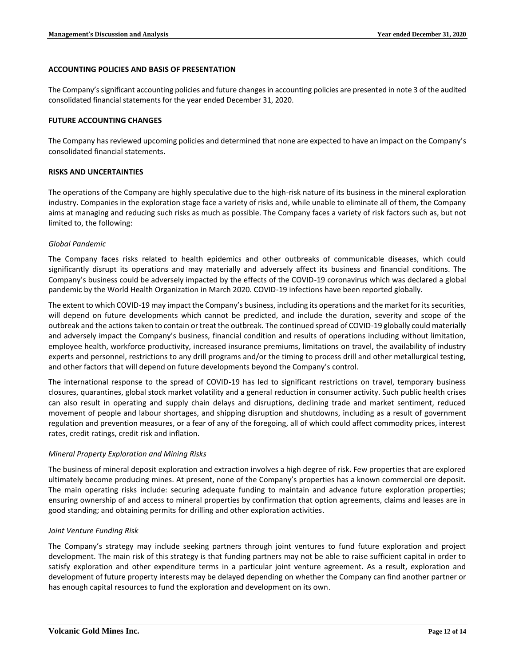## **ACCOUNTING POLICIES AND BASIS OF PRESENTATION**

The Company's significant accounting policies and future changes in accounting policies are presented in note 3 of the audited consolidated financial statements for the year ended December 31, 2020.

### **FUTURE ACCOUNTING CHANGES**

The Company has reviewed upcoming policies and determined that none are expected to have an impact on the Company's consolidated financial statements.

### **RISKS AND UNCERTAINTIES**

The operations of the Company are highly speculative due to the high-risk nature of its business in the mineral exploration industry. Companies in the exploration stage face a variety of risks and, while unable to eliminate all of them, the Company aims at managing and reducing such risks as much as possible. The Company faces a variety of risk factors such as, but not limited to, the following:

### *Global Pandemic*

The Company faces risks related to health epidemics and other outbreaks of communicable diseases, which could significantly disrupt its operations and may materially and adversely affect its business and financial conditions. The Company's business could be adversely impacted by the effects of the COVID-19 coronavirus which was declared a global pandemic by the World Health Organization in March 2020. COVID-19 infections have been reported globally.

The extent to which COVID-19 may impact the Company's business, including its operations and the market for its securities, will depend on future developments which cannot be predicted, and include the duration, severity and scope of the outbreak and the actions taken to contain or treat the outbreak. The continued spread of COVID-19 globally could materially and adversely impact the Company's business, financial condition and results of operations including without limitation, employee health, workforce productivity, increased insurance premiums, limitations on travel, the availability of industry experts and personnel, restrictions to any drill programs and/or the timing to process drill and other metallurgical testing, and other factors that will depend on future developments beyond the Company's control.

The international response to the spread of COVID-19 has led to significant restrictions on travel, temporary business closures, quarantines, global stock market volatility and a general reduction in consumer activity. Such public health crises can also result in operating and supply chain delays and disruptions, declining trade and market sentiment, reduced movement of people and labour shortages, and shipping disruption and shutdowns, including as a result of government regulation and prevention measures, or a fear of any of the foregoing, all of which could affect commodity prices, interest rates, credit ratings, credit risk and inflation.

# *Mineral Property Exploration and Mining Risks*

The business of mineral deposit exploration and extraction involves a high degree of risk. Few properties that are explored ultimately become producing mines. At present, none of the Company's properties has a known commercial ore deposit. The main operating risks include: securing adequate funding to maintain and advance future exploration properties; ensuring ownership of and access to mineral properties by confirmation that option agreements, claims and leases are in good standing; and obtaining permits for drilling and other exploration activities.

# *Joint Venture Funding Risk*

The Company's strategy may include seeking partners through joint ventures to fund future exploration and project development. The main risk of this strategy is that funding partners may not be able to raise sufficient capital in order to satisfy exploration and other expenditure terms in a particular joint venture agreement. As a result, exploration and development of future property interests may be delayed depending on whether the Company can find another partner or has enough capital resources to fund the exploration and development on its own.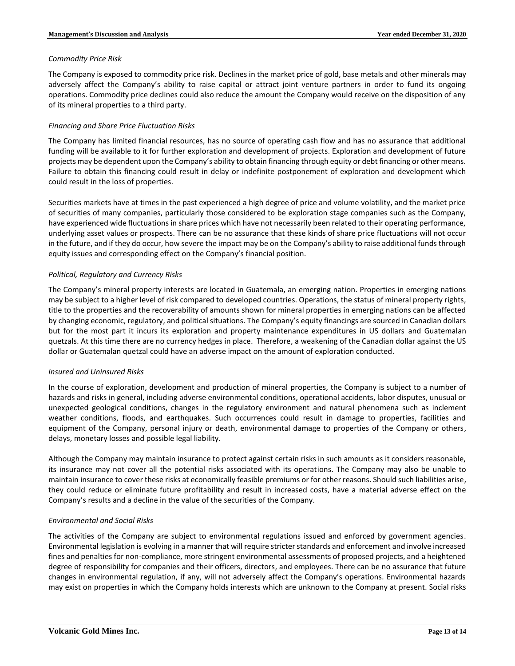### *Commodity Price Risk*

The Company is exposed to commodity price risk. Declines in the market price of gold, base metals and other minerals may adversely affect the Company's ability to raise capital or attract joint venture partners in order to fund its ongoing operations. Commodity price declines could also reduce the amount the Company would receive on the disposition of any of its mineral properties to a third party.

## *Financing and Share Price Fluctuation Risks*

The Company has limited financial resources, has no source of operating cash flow and has no assurance that additional funding will be available to it for further exploration and development of projects. Exploration and development of future projects may be dependent upon the Company's ability to obtain financing through equity or debt financing or other means. Failure to obtain this financing could result in delay or indefinite postponement of exploration and development which could result in the loss of properties.

Securities markets have at times in the past experienced a high degree of price and volume volatility, and the market price of securities of many companies, particularly those considered to be exploration stage companies such as the Company, have experienced wide fluctuations in share prices which have not necessarily been related to their operating performance, underlying asset values or prospects. There can be no assurance that these kinds of share price fluctuations will not occur in the future, and if they do occur, how severe the impact may be on the Company's ability to raise additional funds through equity issues and corresponding effect on the Company's financial position.

# *Political, Regulatory and Currency Risks*

The Company's mineral property interests are located in Guatemala, an emerging nation. Properties in emerging nations may be subject to a higher level of risk compared to developed countries. Operations, the status of mineral property rights, title to the properties and the recoverability of amounts shown for mineral properties in emerging nations can be affected by changing economic, regulatory, and political situations. The Company's equity financings are sourced in Canadian dollars but for the most part it incurs its exploration and property maintenance expenditures in US dollars and Guatemalan quetzals. At this time there are no currency hedges in place. Therefore, a weakening of the Canadian dollar against the US dollar or Guatemalan quetzal could have an adverse impact on the amount of exploration conducted.

# *Insured and Uninsured Risks*

In the course of exploration, development and production of mineral properties, the Company is subject to a number of hazards and risks in general, including adverse environmental conditions, operational accidents, labor disputes, unusual or unexpected geological conditions, changes in the regulatory environment and natural phenomena such as inclement weather conditions, floods, and earthquakes. Such occurrences could result in damage to properties, facilities and equipment of the Company, personal injury or death, environmental damage to properties of the Company or others, delays, monetary losses and possible legal liability.

Although the Company may maintain insurance to protect against certain risks in such amounts as it considers reasonable, its insurance may not cover all the potential risks associated with its operations. The Company may also be unable to maintain insurance to cover these risks at economically feasible premiums or for other reasons. Should such liabilities arise, they could reduce or eliminate future profitability and result in increased costs, have a material adverse effect on the Company's results and a decline in the value of the securities of the Company.

# *Environmental and Social Risks*

The activities of the Company are subject to environmental regulations issued and enforced by government agencies. Environmental legislation is evolving in a manner that will require stricter standards and enforcement and involve increased fines and penalties for non-compliance, more stringent environmental assessments of proposed projects, and a heightened degree of responsibility for companies and their officers, directors, and employees. There can be no assurance that future changes in environmental regulation, if any, will not adversely affect the Company's operations. Environmental hazards may exist on properties in which the Company holds interests which are unknown to the Company at present. Social risks